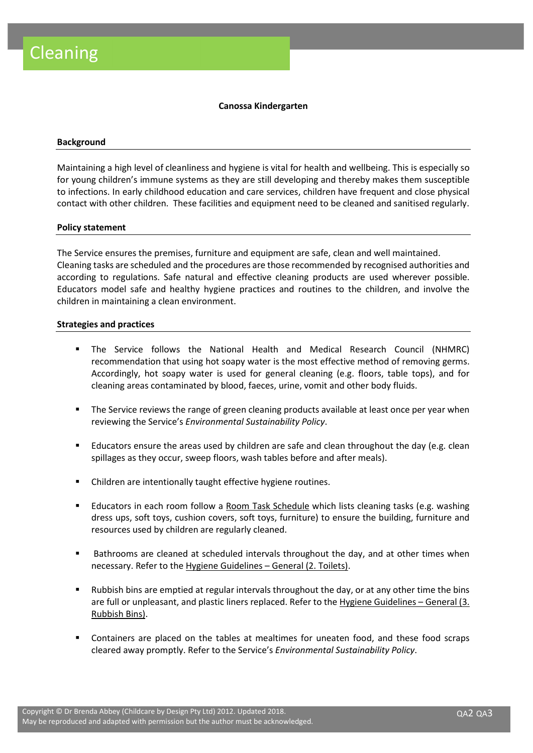## Canossa Kindergarten

#### **Background**

Maintaining a high level of cleanliness and hygiene is vital for health and wellbeing. This is especially so for young children's immune systems as they are still developing and thereby makes them susceptible to infections. In early childhood education and care services, children have frequent and close physical contact with other children. These facilities and equipment need to be cleaned and sanitised regularly.

### Policy statement

The Service ensures the premises, furniture and equipment are safe, clean and well maintained. Cleaning tasks are scheduled and the procedures are those recommended by recognised authorities and according to regulations. Safe natural and effective cleaning products are used wherever possible. Educators model safe and healthy hygiene practices and routines to the children, and involve the children in maintaining a clean environment.

### Strategies and practices

- The Service follows the National Health and Medical Research Council (NHMRC) recommendation that using hot soapy water is the most effective method of removing germs. Accordingly, hot soapy water is used for general cleaning (e.g. floors, table tops), and for cleaning areas contaminated by blood, faeces, urine, vomit and other body fluids.
- The Service reviews the range of green cleaning products available at least once per year when reviewing the Service's Environmental Sustainability Policy.
- Educators ensure the areas used by children are safe and clean throughout the day (e.g. clean spillages as they occur, sweep floors, wash tables before and after meals).
- Children are intentionally taught effective hygiene routines.
- Educators in each room follow a Room Task Schedule which lists cleaning tasks (e.g. washing dress ups, soft toys, cushion covers, soft toys, furniture) to ensure the building, furniture and resources used by children are regularly cleaned.
- Bathrooms are cleaned at scheduled intervals throughout the day, and at other times when necessary. Refer to the Hygiene Guidelines – General (2. Toilets).
- Rubbish bins are emptied at regular intervals throughout the day, or at any other time the bins are full or unpleasant, and plastic liners replaced. Refer to the Hygiene Guidelines – General (3. Rubbish Bins).
- Containers are placed on the tables at mealtimes for uneaten food, and these food scraps cleared away promptly. Refer to the Service's Environmental Sustainability Policy.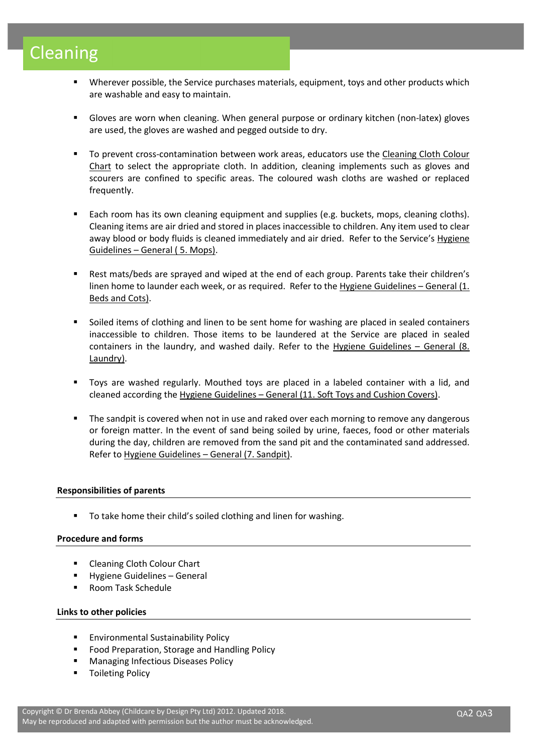# Cleaning

- Wherever possible, the Service purchases materials, equipment, toys and other products which are washable and easy to maintain.
- Gloves are worn when cleaning. When general purpose or ordinary kitchen (non-latex) gloves are used, the gloves are washed and pegged outside to dry.
- To prevent cross-contamination between work areas, educators use the Cleaning Cloth Colour Chart to select the appropriate cloth. In addition, cleaning implements such as gloves and scourers are confined to specific areas. The coloured wash cloths are washed or replaced frequently.
- Each room has its own cleaning equipment and supplies (e.g. buckets, mops, cleaning cloths). Cleaning items are air dried and stored in places inaccessible to children. Any item used to clear away blood or body fluids is cleaned immediately and air dried. Refer to the Service's Hygiene Guidelines – General ( 5. Mops).
- Rest mats/beds are sprayed and wiped at the end of each group. Parents take their children's linen home to launder each week, or as required. Refer to the Hygiene Guidelines – General (1. Beds and Cots).
- Soiled items of clothing and linen to be sent home for washing are placed in sealed containers inaccessible to children. Those items to be laundered at the Service are placed in sealed containers in the laundry, and washed daily. Refer to the Hygiene Guidelines  $-$  General (8. Laundry).
- Toys are washed regularly. Mouthed toys are placed in a labeled container with a lid, and cleaned according the Hygiene Guidelines – General (11. Soft Toys and Cushion Covers).
- The sandpit is covered when not in use and raked over each morning to remove any dangerous or foreign matter. In the event of sand being soiled by urine, faeces, food or other materials during the day, children are removed from the sand pit and the contaminated sand addressed. Refer to Hygiene Guidelines – General (7. Sandpit).

# Responsibilities of parents

To take home their child's soiled clothing and linen for washing.

# Procedure and forms

- Cleaning Cloth Colour Chart
- **Hygiene Guidelines General**
- Room Task Schedule

## Links to other policies

- Environmental Sustainability Policy
- **Food Preparation, Storage and Handling Policy**
- Managing Infectious Diseases Policy
- Toileting Policy